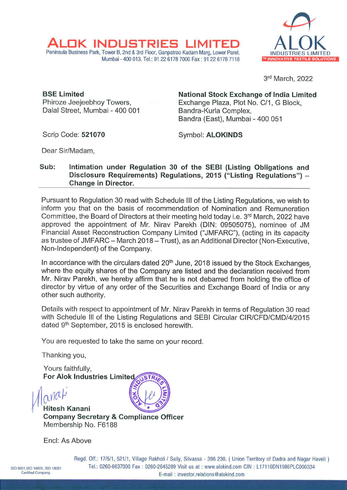

3rd March, 2022

**BSE Limited**  Phiroze Jeejeebhoy Towers, Dalal Street, Mumbai - 400 001

AL <sup>K</sup>**INDUSTRIES LIMITED** 

Peninsula Business Park, Tower B, 2nd & 3rd Floor, Ganpatrao Kadam Marg, Lower Parel,

**National Stock Exchange of India Limited**  Exchange Plaza, Plot No. C/1, G Block, Bandra-Kurla Complex, Sandra (East), Mumbai - 400 051

Scrip Code: **521070** 

Symbol: **ALOKINDS** 

Dear Sir/Madam,

## **Sub: Intimation under Regulation 30 of the SEBI (Listing Obligations and Disclosure Requirements) Regulations, 2015 ("Listing Regulations")** - **Change in Director.**

Mumbai-400 013. Tel.: 91226178 7000 Fax: 9122 6178 7118

Pursuant to Regulation 30 read with Schedule Ill of the Listing Regulations, we wish to inform you that on the basis of recommendation of Nomination and Remuneration Committee, the Board of Directors at their meeting held today i.e. 3<sup>rd</sup> March, 2022 have approved the appointment of Mr. Nirav Parekh (DIN: 09505075), nominee of JM Financial Asset Reconstruction Company Limited ("JMFARC"), (acting in its capacity as trustee of JMFARC - March 2018 - Trust), as an Additional Director (Non-Executive, Non-Independent) of the Company.

In accordance with the circulars dated  $20<sup>th</sup>$  June, 2018 issued by the Stock Exchanges where the equity shares of the Company are listed and the declaration received from Mr. Nirav Parekh, we hereby affirm that he is not debarred from holding the office of director by virtue of any order of the Securities and Exchange Board of India or any other such authority.

Details with respect to appointment of Mr. Nirav Parekh in terms of Regulation 30 read with Schedule Ill of the Listing Regulations and SEBI Circular CIR/CFD/CMD/4/2015 dated 9<sup>th</sup> September, 2015 is enclosed herewith.

You are requested to take the same on your record.

Thanking you,

Yours faithfully, **For Alok Industries Limited** 

 $\alpha$ M $\alpha$  $\mu$ <br>**Hitesh Kanani Company Secretary & Compliance Officer**  Membership No. F6188

Encl: As Above